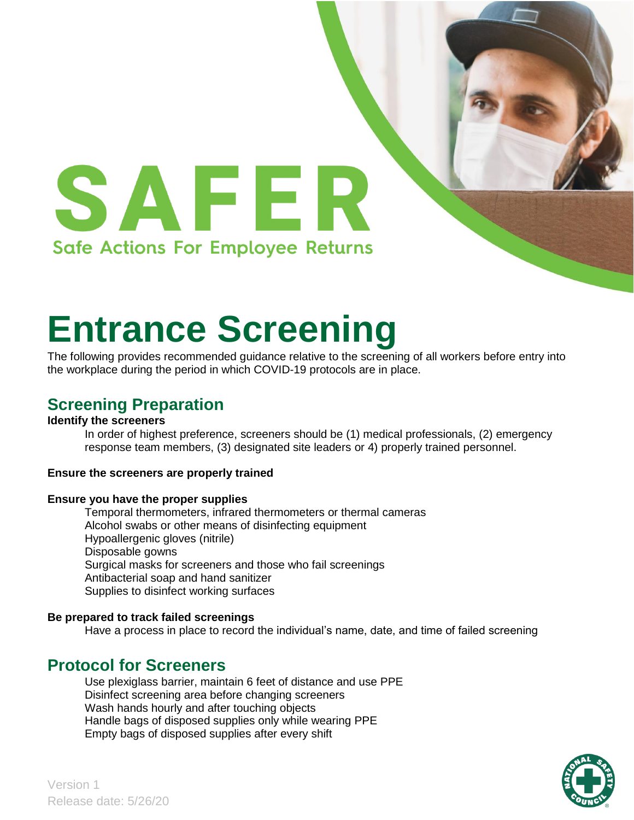

# **Entrance Screening**

The following provides recommended guidance relative to the screening of all workers before entry into the workplace during the period in which COVID-19 protocols are in place.

## **Screening Preparation**

#### **Identify the screeners**

In order of highest preference, screeners should be (1) medical professionals, (2) emergency response team members, (3) designated site leaders or 4) properly trained personnel.

#### **Ensure the screeners are properly trained**

#### **Ensure you have the proper supplies**

Temporal thermometers, infrared thermometers or thermal cameras Alcohol swabs or other means of disinfecting equipment Hypoallergenic gloves (nitrile) Disposable gowns Surgical masks for screeners and those who fail screenings Antibacterial soap and hand sanitizer Supplies to disinfect working surfaces

#### **Be prepared to track failed screenings**

Have a process in place to record the individual's name, date, and time of failed screening

## **Protocol for Screeners**

Use plexiglass barrier, maintain 6 feet of distance and use PPE Disinfect screening area before changing screeners Wash hands hourly and after touching objects Handle bags of disposed supplies only while wearing PPE Empty bags of disposed supplies after every shift

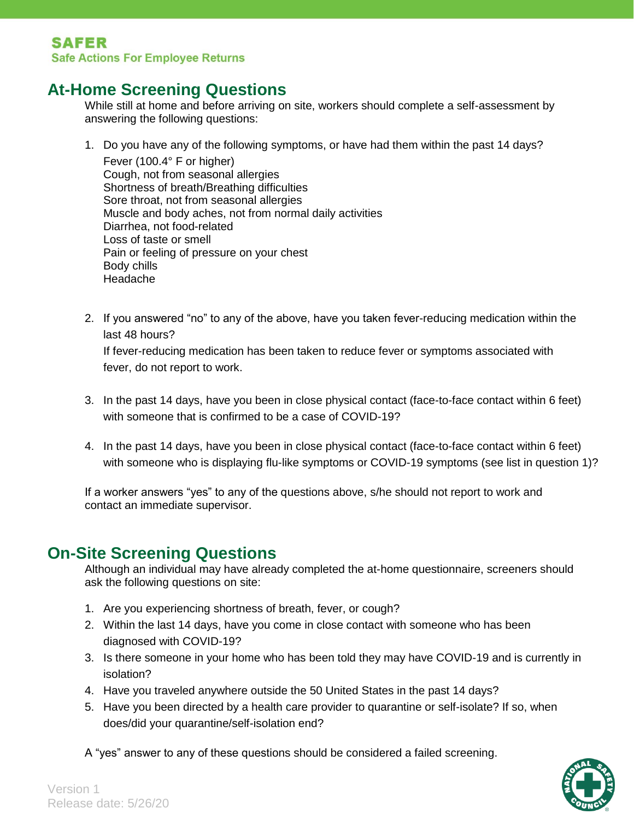## **At-Home Screening Questions**

While still at home and before arriving on site, workers should complete a self-assessment by answering the following questions:

- 1. Do you have any of the following symptoms, or have had them within the past 14 days? Fever (100.4° F or higher) Cough, not from seasonal allergies Shortness of breath/Breathing difficulties Sore throat, not from seasonal allergies Muscle and body aches, not from normal daily activities Diarrhea, not food-related Loss of taste or smell Pain or feeling of pressure on your chest Body chills Headache
	- 2. If you answered "no" to any of the above, have you taken fever-reducing medication within the last 48 hours?

If fever-reducing medication has been taken to reduce fever or symptoms associated with fever, do not report to work.

- 3. In the past 14 days, have you been in close physical contact (face-to-face contact within 6 feet) with someone that is confirmed to be a case of COVID-19?
- 4. In the past 14 days, have you been in close physical contact (face-to-face contact within 6 feet) with someone who is displaying flu-like symptoms or COVID-19 symptoms (see list in question 1)?

If a worker answers "yes" to any of the questions above, s/he should not report to work and contact an immediate supervisor.

## **On-Site Screening Questions**

Although an individual may have already completed the at-home questionnaire, screeners should ask the following questions on site:

- 1. Are you experiencing shortness of breath, fever, or cough?
- 2. Within the last 14 days, have you come in close contact with someone who has been diagnosed with COVID-19?
- 3. Is there someone in your home who has been told they may have COVID-19 and is currently in isolation?
- 4. Have you traveled anywhere outside the 50 United States in the past 14 days?
- 5. Have you been directed by a health care provider to quarantine or self-isolate? If so, when does/did your quarantine/self-isolation end?

A "yes" answer to any of these questions should be considered a failed screening.